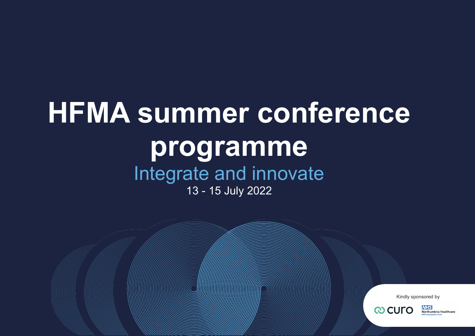**Healthcare Financial Management Association [www.hfma.org.uk](https://www.hfma.org.uk/)**

# **HFMA summer conference programme** Integrate and innovate 13 - 15 July 2022

Kindly sponsored by



**NHS** Northumbria Healthcare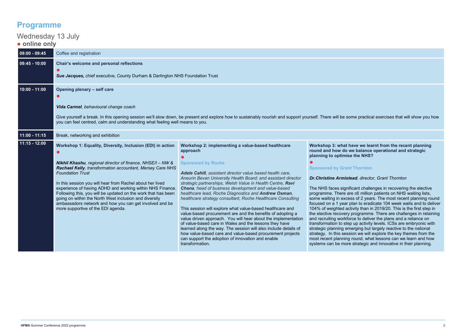# **Programme**

#### Wednesday 13 July ● **online only 09:00 - 09:45** Coffee and registration **09:45 - 10:00 Chair's welcome and personal reflections ●** *Sue Jacques,* chief executive, County Durham & Darlington NHS Foundation Trust **10:00 - 11:00 Opening plenary – self care ●** *Vida Carmel*, *behavioural change coach* Give yourself a break. In this opening session we'll slow down, be present and explore how to sustainably nourish and support yourself. There will be some practical exercises that will show you how you can feel centred, calm and understanding what feeling well means to you. **11:00 - 11:15** Break, networking and exhibition **11:15 - 12:00 Workshop 1: Equality, Diversity, Inclusion (EDI) in action ●** *Nikhil Khashu, regional director of finance, NHSE/I – NW & Rachael Kelly, transformation accountant, Mersey Care NHS Foundation Trust* In this session you will hear from Rachel about her lived experience of having ADHD and working within NHS Finance. Following this, you will be updated on the work that has been going on within the North West inclusion and diversity ambassadors network and how you can get involved and be more supportive of the EDI agenda. **Workshop 2: implementing a value-based healthcare approach ● Sponsored by Roche** *Adele Cahill, assistant director value based health care, Aneurin Bevan University Health Board; and assistant director strategic partnerships, Welsh Value in Health Centre, Ravi Chana, head of business development and value-based healthcare lead, Roche Diagnostics and Andrew Osman, healthcare strategy consultant, Roche Healthcare Consulting* This session will explore what value-based healthcare and value-based procurement are and the benefits of adopting a value driven approach. You will hear about the implementation of value-based care in Wales and the lessons they have learned along the way. The session will also include details of how value-based care and value-based procurement projects can support the adoption of innovation and enable transformation. **Workshop 3: what have we learnt from the recent planning round and how do we balance operational and strategic planning to optimise the NHS? ● Sponsored by Grant Thornton** *Dr.Christine Armistead, director, Grant Thornton* The NHS faces significant challenges in recovering the elective programme. There are c6 million patients on NHS waiting lists, some waiting in excess of 2 years. The most recent planning round focused on a 1 year plan to eradicate 104 week waits and to deliver 104% of weighted activity than in 2019/20. This is the first step in the elective recovery programme. There are challenges in retaining and recruiting workforce to deliver the plans and a reliance on transformation to step up activity levels. ICSs are embryonic with strategic planning emerging but largely reactive to the national strategy. In this session we will explore the key themes from the most recent planning round, what lessons can we learn and how systems can be more strategic and innovative in their planning.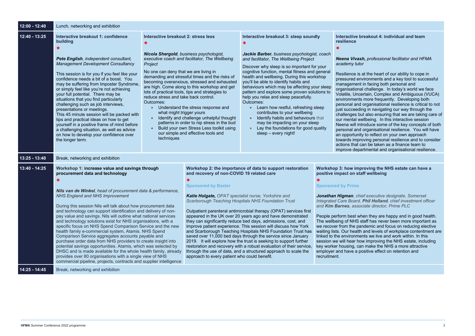#### **Interactive breakout 4: individual and team**

#### *Nema <i>Professional facilitator and HFMA* tor

s at the heart of our ability to cope in nvironments and a key tool to successful nt in facing both personal and nal challenge. In today's world we face certain, Complex and Ambiguous (VUCA) ts more frequently. Developing both d organisational resilience is critical to not just succeeding in navigating our way through the challenges but also ensuring that we are taking care of wellbeing. In this interactive session ntroduce some of the key concepts of both d organisational resilience. You will have hity to reflect on your own approach roving personal resilience and to consider can be taken as a finance team to vartmental and organisational resilience.

#### **proving the NHS estate can have a positive in staff wellbeing**

| 12:00 - 12:40 | Lunch, networking and exhibition                                                                                                                                                                                                                                                                                                                                                                                                                                                                                                                                                                                                                                                                                                                                                                                                                                                                                                                                                     |                                                                                                                                                                                                                                                |                                                                                                                                                                                                                                                                                                                                                                                                                                                                                                                                                                                                                                                                                                                                                                                                                                                                                                                               |                                                                                                                                                                                                                                                                                                                                                                                                                                                                                                                                                                                                                                                                                              |                                                                                                                                                                                                                                                                                                                                                                                                    |                                                                                                                                                                                                                                                                                                                                        |
|---------------|--------------------------------------------------------------------------------------------------------------------------------------------------------------------------------------------------------------------------------------------------------------------------------------------------------------------------------------------------------------------------------------------------------------------------------------------------------------------------------------------------------------------------------------------------------------------------------------------------------------------------------------------------------------------------------------------------------------------------------------------------------------------------------------------------------------------------------------------------------------------------------------------------------------------------------------------------------------------------------------|------------------------------------------------------------------------------------------------------------------------------------------------------------------------------------------------------------------------------------------------|-------------------------------------------------------------------------------------------------------------------------------------------------------------------------------------------------------------------------------------------------------------------------------------------------------------------------------------------------------------------------------------------------------------------------------------------------------------------------------------------------------------------------------------------------------------------------------------------------------------------------------------------------------------------------------------------------------------------------------------------------------------------------------------------------------------------------------------------------------------------------------------------------------------------------------|----------------------------------------------------------------------------------------------------------------------------------------------------------------------------------------------------------------------------------------------------------------------------------------------------------------------------------------------------------------------------------------------------------------------------------------------------------------------------------------------------------------------------------------------------------------------------------------------------------------------------------------------------------------------------------------------|----------------------------------------------------------------------------------------------------------------------------------------------------------------------------------------------------------------------------------------------------------------------------------------------------------------------------------------------------------------------------------------------------|----------------------------------------------------------------------------------------------------------------------------------------------------------------------------------------------------------------------------------------------------------------------------------------------------------------------------------------|
| 12:40 - 13:25 | Interactive breakout 1: confidence<br>building<br>Pete English, independent consultant,<br><b>Management Development Consultancy</b><br>This session is for you if you feel like your<br>confidence needs a bit of a boost. You<br>may be suffering from Imposter Syndrome,<br>or simply feel like you're not achieving<br>your full potential. There may be<br>situations that you find particularly<br>challenging such as job interviews,<br>presentations or meetings.<br>This 45 minute session will be packed with<br>tips and practical ideas on how to get<br>yourself in a positive frame of mind before<br>a challenging situation, as well as advice<br>on how to develop your confidence over<br>the longer term.                                                                                                                                                                                                                                                        | Interactive breakout 2: stress less<br>Nicola Shergold, business psychologist,<br>Project<br>No one can deny that we are living in<br>reduce stress and take back control.<br>Outcomes:<br>$\bullet$<br>what might trigger yours<br>techniques | executive coach and facilitator, The Wellbeing<br>demanding and stressful times and the risks of<br>becoming overanxious, stressed and exhausted<br>are high. Come along to this workshop and get<br>lots of practical tools, tips and strategies to<br>Understand the stress response and<br>Identify and challenge unhelpful thought<br>patterns in order to nip stress in the bud<br>Build your own Stress Less toolkit using<br>our simple and effective tools and                                                                                                                                                                                                                                                                                                                                                                                                                                                        | Interactive breakout 3: sleep soundly<br>Jackie Barber, business psychologist, coach<br>and facilitator, The Wellbeing Project<br>Discover why sleep is so important for your<br>cognitive function, mental fitness and general<br>health and wellbeing. During this workshop<br>you'll be able to identify habits and<br>behaviours which may be affecting your sleep<br>pattern and explore some proven solutions to<br>help you relax and sleep peacefully.<br>Outcomes:<br>Learn how restful, refreshing sleep<br>contributes to your wellbeing<br>Identify habits and behaviours that<br>may be impacting on your sleep<br>Lay the foundations for good quality<br>sleep - every night! |                                                                                                                                                                                                                                                                                                                                                                                                    | <b>Interactive</b><br>resilience<br><b>Neena Viva</b><br>academy tut<br>Resilience is<br>pressured e<br>managemer<br>organisation<br>Volatile, Und<br>environment<br>personal and<br>just succeed<br>challenges <b>b</b><br>our mental v<br>Neena will in<br>personal and<br>an opportun<br>towards imp<br>actions that<br>improve dep |
| 13:25 - 13:40 | Break, networking and exhibition                                                                                                                                                                                                                                                                                                                                                                                                                                                                                                                                                                                                                                                                                                                                                                                                                                                                                                                                                     |                                                                                                                                                                                                                                                |                                                                                                                                                                                                                                                                                                                                                                                                                                                                                                                                                                                                                                                                                                                                                                                                                                                                                                                               |                                                                                                                                                                                                                                                                                                                                                                                                                                                                                                                                                                                                                                                                                              |                                                                                                                                                                                                                                                                                                                                                                                                    |                                                                                                                                                                                                                                                                                                                                        |
| 13:40 - 14:25 | Workshop 1: increase value and savings through<br>procurement data and technology<br>Nils van de Winkel, head of procurement data & performance,<br><b>NHS England and NHS Improvement</b><br>During this session Nils will talk about how procurement data<br>and technology can support identification and delivery of non-<br>pay value and savings. Nils will outline what national services<br>and technology solutions exist for NHS organisations, with a<br>specific focus on NHS Spend Comparison Service and the new<br>health family e-commercial system, Atamis. NHS Spend<br>Comparison Service aggregates accounts payable and<br>purchase order data from NHS providers to create insight into<br>potential savings opportunities. Atamis, which was selected by<br>DHSC and is made available for the whole health family, already<br>provides over 80 organisations with a single view of NHS<br>commercial pipeline, projects, contracts and supplier intelligence |                                                                                                                                                                                                                                                | Workshop 2: the importance of data to support restoration<br>and recovery of non-COVID 19 related care<br><b>Sponsored by Baxter</b><br>Katie Holgate, OPAT specialist nurse, Yorkshire and<br><b>Scarborough Teaching Hospitals NHS Foundation Trust</b><br>Outpatient parenteral antimicrobial therapy (OPAT) services first<br>appeared in the UK over 20 years ago and have demonstrated<br>they can significantly reduce bed days, admissions, cost, and<br>improve patient experience. This session will discuss how York<br>and Scarborough Teaching Hospitals NHS Foundation Trust has<br>saved over 11,000 bed days through the service since January<br>2019. It will explore how the trust is seeking to support further<br>restoration and recovery with a robust evaluation of their service,<br>through the use of data, and a structured approach to scale the<br>approach to every patient who could benefit. |                                                                                                                                                                                                                                                                                                                                                                                                                                                                                                                                                                                                                                                                                              | <b>Workshop 3: how im</b><br>positive impact on st<br><b>Sponsored by Prime</b><br>Jonathan Higman, ch<br><b>Integrated Care Board</b><br>and <b>Kim Barnes</b> , asse<br>People perform best w<br>The wellbeing of NHS<br>we recover from the pa<br>waiting lists. Our healt<br>linked to the environm<br>session we will hear h<br>key worker housing, ca<br>employer and have a<br>recruitment. |                                                                                                                                                                                                                                                                                                                                        |
| 14:25 - 14:45 | Break, networking and exhibition                                                                                                                                                                                                                                                                                                                                                                                                                                                                                                                                                                                                                                                                                                                                                                                                                                                                                                                                                     |                                                                                                                                                                                                                                                |                                                                                                                                                                                                                                                                                                                                                                                                                                                                                                                                                                                                                                                                                                                                                                                                                                                                                                                               |                                                                                                                                                                                                                                                                                                                                                                                                                                                                                                                                                                                                                                                                                              |                                                                                                                                                                                                                                                                                                                                                                                                    |                                                                                                                                                                                                                                                                                                                                        |

*Jonathan Higman, chief executive designate, Somerset Integrated Care Board, Phil Holland, chief investment officer and Kim Barnes, associate director, Prime PLC*

vhen they are happy and in good health. staff has never been more important as andemic and focus on reducing elective th and levels of workplace contentment are lents we live and work within. In this ow improving the NHS estate, including an make the NHS a more attractive positive effect on retention and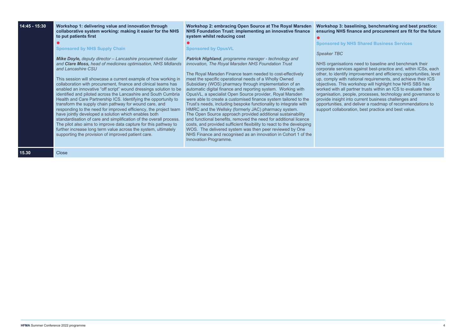| 14:45 - 15:30 | Workshop 1: delivering value and innovation through<br>collaborative system working: making it easier for the NHS<br>to put patients first<br><b>Sponsored by NHS Supply Chain</b><br>Mike Doyle, deputy director - Lancashire procurement cluster<br>and Clare Moss, head of medicines optimisation, NHS Midlands<br>and Lancashire CSU<br>This session will showcase a current example of how working in<br>collaboration with procurement, finance and clinical teams has<br>enabled an innovative "off script" wound dressings solution to be<br>identified and piloted across the Lancashire and South Cumbria<br>Health and Care Partnership ICS. Identifying the opportunity to<br>transform the supply chain pathway for wound care, and<br>responding to the need for improved efficiency, the project team<br>have jointly developed a solution which enables both<br>standardisation of care and simplification of the overall process.<br>The pilot also aims to improve data capture for this pathway to<br>further increase long term value across the system, ultimately<br>supporting the provision of improved patient care. | <b>Workshop 2: embracing Open Source at The Royal Marsden</b><br>NHS Foundation Trust: implementing an innovative finance<br>system whilst reducing cost<br><b>Sponsored by OpusVL</b><br>Patrick Highland, programme manager - technology and<br>innovation, The Royal Marsden NHS Foundation Trust<br>The Royal Marsden Finance team needed to cost-effectively<br>meet the specific operational needs of a Wholly Owned<br>Subsidiary (WOS) pharmacy through implementation of an<br>automatic digital finance and reporting system. Working with<br>OpusVL, a specialist Open Source provider, Royal Marsden<br>were able to create a customised finance system tailored to the<br>Trust's needs, including bespoke functionality to integrate with<br>HMRC and the Wellsky (formerly JAC) pharmacy system.<br>The Open Source approach provided additional sustainability<br>and functional benefits, removed the need for additional licence<br>costs, and provided sufficient flexibility to react to the developing<br>WOS. The delivered system was then peer reviewed by One<br>NHS Finance and recognised as an innovation in Cohort 1 of the<br>Innovation Programme. | <b>Workshop 3:</b><br>ensuring NH<br><b>Sponsored b</b><br><b>Speaker TBC</b><br><b>NHS organisa</b><br>corporate ser<br>other, to ident<br>up, comply wi<br>objectives. Th<br>worked with a<br>organisation,<br>provide insigh<br>opportunities,<br>support collal |
|---------------|-----------------------------------------------------------------------------------------------------------------------------------------------------------------------------------------------------------------------------------------------------------------------------------------------------------------------------------------------------------------------------------------------------------------------------------------------------------------------------------------------------------------------------------------------------------------------------------------------------------------------------------------------------------------------------------------------------------------------------------------------------------------------------------------------------------------------------------------------------------------------------------------------------------------------------------------------------------------------------------------------------------------------------------------------------------------------------------------------------------------------------------------------|-----------------------------------------------------------------------------------------------------------------------------------------------------------------------------------------------------------------------------------------------------------------------------------------------------------------------------------------------------------------------------------------------------------------------------------------------------------------------------------------------------------------------------------------------------------------------------------------------------------------------------------------------------------------------------------------------------------------------------------------------------------------------------------------------------------------------------------------------------------------------------------------------------------------------------------------------------------------------------------------------------------------------------------------------------------------------------------------------------------------------------------------------------------------------------------|---------------------------------------------------------------------------------------------------------------------------------------------------------------------------------------------------------------------------------------------------------------------|
| 15.30         | Close                                                                                                                                                                                                                                                                                                                                                                                                                                                                                                                                                                                                                                                                                                                                                                                                                                                                                                                                                                                                                                                                                                                                         |                                                                                                                                                                                                                                                                                                                                                                                                                                                                                                                                                                                                                                                                                                                                                                                                                                                                                                                                                                                                                                                                                                                                                                                   |                                                                                                                                                                                                                                                                     |

### **Workshop 3: baselining, benchmarking and best practice: ensuring NHS finance and procurement are fit for the future**

**Sponsored by NHS Shared Business Services**

ations need to baseline and benchmark their vices against best-practice and, within ICSs, each other against seen practice and, them no equations of the third in the proven in the proven in the third in the set of the set of the set of the set of the set of the set of the set of the set of the set of the set of the  $\mu$ ith national requirements, and achieve their ICS of the control of the control of the control of the control of the control of the workshop will highlight how NHS SBS has all partner trusts within an ICS to evaluate their organisation, people, processes, technology and governance to nt into current business challenges and , and deliver a roadmap of recommendations to boration, best practice and best value.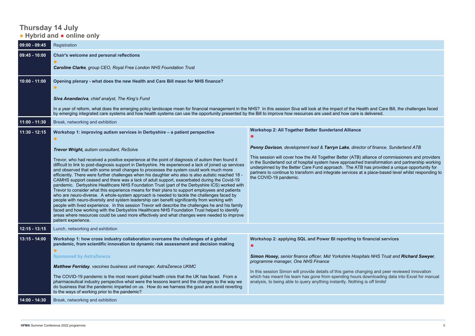## **Thursday 14 July** ● **Hybrid and** ● **online only**

| $  09:00 - 09:45$ | Registration                                                                                                                                                                                                                                                                                                                                                                                                                                                                                                                                                                                                                                                                                                                                                                                                                                                                                                                                                                                                                                                                                                                                                                                                                                                                                                                                                                   |                                                                                                                                                                                                                                                                                                                                                                                                                                                                                                                                                                                                      |
|-------------------|--------------------------------------------------------------------------------------------------------------------------------------------------------------------------------------------------------------------------------------------------------------------------------------------------------------------------------------------------------------------------------------------------------------------------------------------------------------------------------------------------------------------------------------------------------------------------------------------------------------------------------------------------------------------------------------------------------------------------------------------------------------------------------------------------------------------------------------------------------------------------------------------------------------------------------------------------------------------------------------------------------------------------------------------------------------------------------------------------------------------------------------------------------------------------------------------------------------------------------------------------------------------------------------------------------------------------------------------------------------------------------|------------------------------------------------------------------------------------------------------------------------------------------------------------------------------------------------------------------------------------------------------------------------------------------------------------------------------------------------------------------------------------------------------------------------------------------------------------------------------------------------------------------------------------------------------------------------------------------------------|
| $09:45 - 10:00$   | <b>Chair's welcome and personal reflections</b><br>Caroline Clarke, group CEO, Royal Free London NHS Foundation Trust                                                                                                                                                                                                                                                                                                                                                                                                                                                                                                                                                                                                                                                                                                                                                                                                                                                                                                                                                                                                                                                                                                                                                                                                                                                          |                                                                                                                                                                                                                                                                                                                                                                                                                                                                                                                                                                                                      |
| 10:00 - 11:00     | Opening plenary - what does the new Health and Care Bill mean for NHS finance?<br>Siva Anandaciva, chief analyst, The King's Fund<br>In a year of reform, what does the emerging policy landscape mean for financial management in the NHS? In this session Siva will look at the impact of the Health and Care Bill, the challenges faced<br>by emerging integrated care systems and how health systems can use the opportunity presented by the Bill to improve how resources are used and how care is delivered.                                                                                                                                                                                                                                                                                                                                                                                                                                                                                                                                                                                                                                                                                                                                                                                                                                                            |                                                                                                                                                                                                                                                                                                                                                                                                                                                                                                                                                                                                      |
| 11:00 - 11:30     | Break, networking and exhibition                                                                                                                                                                                                                                                                                                                                                                                                                                                                                                                                                                                                                                                                                                                                                                                                                                                                                                                                                                                                                                                                                                                                                                                                                                                                                                                                               |                                                                                                                                                                                                                                                                                                                                                                                                                                                                                                                                                                                                      |
| 11:30 - 12:15     | Workshop 1: improving autism services in Derbyshire - a patient perspective<br><b>Trevor Wright, autism consultant, ReSolve</b><br>Trevor, who had received a positive experience at the point of diagnosis of autism then found it<br>difficult to link to post-diagnosis support in Derbyshire. He experienced a lack of joined up services<br>and observed that with some small changes to processes the system could work much more<br>efficiently. There were further challenges when his daughter who also is also autistic reached 18 -<br>CAMHS support ceased and there was a lack of adult support, exacerbated during the Covid-19<br>pandemic. Derbyshire Healthcare NHS Foundation Trust (part of the Derbyshire ICS) worked with<br>Trevor to consider what this experience means for their plans to support employees and patients<br>who are neuro-diverse. A whole-system approach is needed to tackle the challenges faced by<br>people with neuro-diversity and system leadership can benefit significantly from working with<br>people with lived experience. In this session Trevor will describe the challenges he and his family<br>faced and how working with the Derbyshire Healthcare NHS Foundation Trust helped to identify<br>areas where resources could be used more effectively and what changes were needed to improve<br>patient experience. | <b>Workshop 2: All Together Better Sunderland Alliance</b><br><b>Penny Davison, development lead &amp; Tarryn Lake, director of finance, Sunderland ATB</b><br>This session will cover how the All Together Better (ATB) alliance of commissioners and providers<br>in the Sunderland out of hospital system have approached transformation and partnership working<br>underpinned by the Better Care Fund approach. The ATB has provided a unique opportunity for<br>partners to continue to transform and integrate services at a place-based level whilst responding to<br>the COVID-19 pandemic. |
| 12:15 - 13:15     | Lunch, networking and exhibition                                                                                                                                                                                                                                                                                                                                                                                                                                                                                                                                                                                                                                                                                                                                                                                                                                                                                                                                                                                                                                                                                                                                                                                                                                                                                                                                               |                                                                                                                                                                                                                                                                                                                                                                                                                                                                                                                                                                                                      |
| 13:15 - 14:00     | Workshop 1: how cross industry collaboration overcame the challenges of a global<br>pandemic, from scientific innovation to dynamic risk assessment and decision making<br><b>Sponsored by AstraZeneca</b><br>Matthew Ferriday, vaccines business unit manager, AstraZeneca UKMC<br>The COVID-19 pandemic is the most recent global health crisis that the UK has faced. From a<br>pharmaceutical industry perspective what were the lessons learnt and the changes to the way we<br>do business that the pandemic imparted on us. How do we harness the good and avoid reverting<br>to the ways of working prior to the pandemic?                                                                                                                                                                                                                                                                                                                                                                                                                                                                                                                                                                                                                                                                                                                                             | Workshop 2: applying SQL and Power BI reporting to financial services<br>Simon Hosey, senior finance officer, Mid Yorkshire Hospitals NHS Trust and Richard Sawyer,<br>programme manager, One NHS Finance<br>In this session Simon will provide details of this game changing and peer reviewed innovation<br>which has meant his team has gone from spending hours downloading data into Excel for manual<br>analysis, to being able to query anything instantly. Nothing is off limits!                                                                                                            |
| 14:00 - 14:30     | Break, networking and exhibition                                                                                                                                                                                                                                                                                                                                                                                                                                                                                                                                                                                                                                                                                                                                                                                                                                                                                                                                                                                                                                                                                                                                                                                                                                                                                                                                               |                                                                                                                                                                                                                                                                                                                                                                                                                                                                                                                                                                                                      |

## *Penny Davison, development lead & Tarryn Lake, director of finance, Sunderland ATB*

## to financial services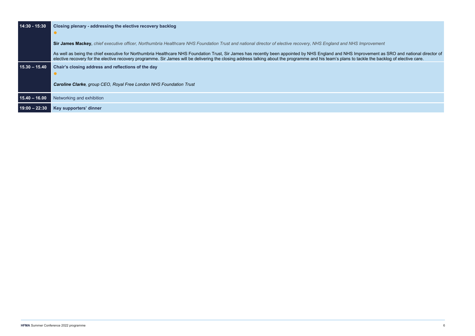$nprow$ ement as SRO and national director of .<br>ackle the backlog of elective care.

| $14:30 - 15:30$ | Closing plenary - addressing the elective recovery backlog<br>$\bullet$                                                                                                                                                                                                                                                                         |
|-----------------|-------------------------------------------------------------------------------------------------------------------------------------------------------------------------------------------------------------------------------------------------------------------------------------------------------------------------------------------------|
|                 | Sir James Mackey, chief executive officer, Northumbria Healthcare NHS Foundation Trust and national director of elective recovery, NHS England and NHS Improvement                                                                                                                                                                              |
|                 | As well as being the chief executive for Northumbria Healthcare NHS Foundation Trust, Sir James has recently been appointed by NHS England and NHS Improvement as<br>elective recovery for the elective recovery programme. Sir James will be delivering the closing address talking about the programme and his team's plans to tackle the bac |
| $15.30 - 15.40$ | Chair's closing address and reflections of the day<br><b>Caroline Clarke, group CEO, Royal Free London NHS Foundation Trust</b>                                                                                                                                                                                                                 |
| $15.40 - 16.00$ | Networking and exhibition                                                                                                                                                                                                                                                                                                                       |
| $19:00 - 22:30$ | Key supporters' dinner                                                                                                                                                                                                                                                                                                                          |
|                 |                                                                                                                                                                                                                                                                                                                                                 |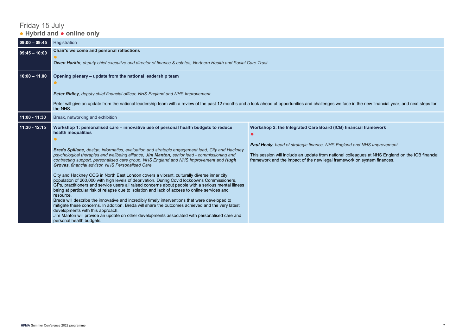# Friday 15 July ● **Hybrid and** ● **online only**

| $09:00 - 09:45$ | Registration                                                                                                                                                                                                                                                                                                                                                                                                                                                                                                                                                                                                                                                                                                                                                                                                                                                                                                                                                                                                                                                                                                                                                                                                                                        |                                                                                                                                                                                                                                                                                                                                 |
|-----------------|-----------------------------------------------------------------------------------------------------------------------------------------------------------------------------------------------------------------------------------------------------------------------------------------------------------------------------------------------------------------------------------------------------------------------------------------------------------------------------------------------------------------------------------------------------------------------------------------------------------------------------------------------------------------------------------------------------------------------------------------------------------------------------------------------------------------------------------------------------------------------------------------------------------------------------------------------------------------------------------------------------------------------------------------------------------------------------------------------------------------------------------------------------------------------------------------------------------------------------------------------------|---------------------------------------------------------------------------------------------------------------------------------------------------------------------------------------------------------------------------------------------------------------------------------------------------------------------------------|
| $09:45 - 10:00$ | Chair's welcome and personal reflections<br>Owen Harkin, deputy chief executive and director of finance & estates, Northern Health and Social Care Trust                                                                                                                                                                                                                                                                                                                                                                                                                                                                                                                                                                                                                                                                                                                                                                                                                                                                                                                                                                                                                                                                                            |                                                                                                                                                                                                                                                                                                                                 |
| $10:00 - 11.00$ | Opening plenary - update from the national leadership team<br>Peter Ridley, deputy chief financial officer, NHS England and NHS Improvement<br>Peter will give an update from the national leadership team with a review of the past 12 months and a look ahead at opportunities and challenges we face in the new financial year, and next steps for<br>the NHS.                                                                                                                                                                                                                                                                                                                                                                                                                                                                                                                                                                                                                                                                                                                                                                                                                                                                                   |                                                                                                                                                                                                                                                                                                                                 |
| $11:00 - 11:30$ | Break, networking and exhibition                                                                                                                                                                                                                                                                                                                                                                                                                                                                                                                                                                                                                                                                                                                                                                                                                                                                                                                                                                                                                                                                                                                                                                                                                    |                                                                                                                                                                                                                                                                                                                                 |
| 11:30 - 12:15   | Workshop 1: personalised care - innovative use of personal health budgets to reduce<br>health inequalities<br>Breda Spillane, design, informatics, evaluation and strategic engagement lead, City and Hackney<br>psychological therapies and wellbeing alliance, Jim Manton, senior lead - commissioning and<br>contracting support, personalised care group, NHS England and NHS Improvement and Hugh<br>Groves, financial advisor, NHS Personalised Care<br>City and Hackney CCG in North East London covers a vibrant, culturally diverse inner city<br>population of 260,000 with high levels of deprivation. During Covid lockdowns Commissioners,<br>GPs, practitioners and service users all raised concerns about people with a serious mental illness<br>being at particular risk of relapse due to isolation and lack of access to online services and<br>resource.<br>Breda will describe the innovative and incredibly timely interventions that were developed to<br>mitigate these concerns. In addition, Breda will share the outcomes achieved and the very latest<br>developments with this approach.<br>Jim Manton will provide an update on other developments associated with personalised care and<br>personal health budgets. | Workshop 2: the Integrated Care Board (ICB) financial framework<br><b>Paul Healy, head of strategic finance, NHS England and NHS Improvement</b><br>This session will include an update from national colleagues at NHS England on the ICB financial<br>framework and the impact of the new legal framework on system finances. |